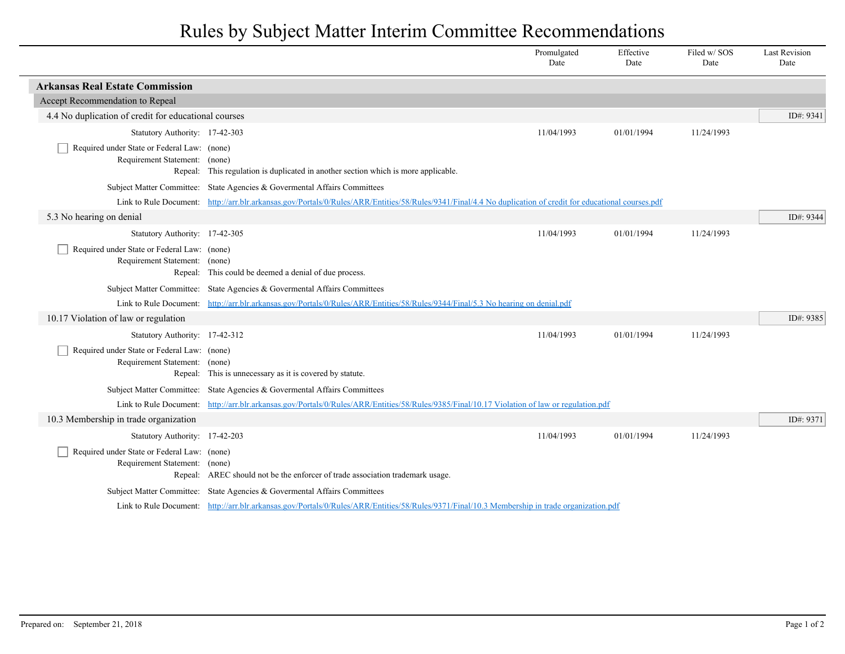## Rules by Subject Matter Interim Committee Recommendations

|                                                                              |                                                                                                                                                              | Promulgated<br>Date | Effective<br>Date | Filed w/SOS<br>Date | <b>Last Revision</b><br>Date |
|------------------------------------------------------------------------------|--------------------------------------------------------------------------------------------------------------------------------------------------------------|---------------------|-------------------|---------------------|------------------------------|
| <b>Arkansas Real Estate Commission</b>                                       |                                                                                                                                                              |                     |                   |                     |                              |
| Accept Recommendation to Repeal                                              |                                                                                                                                                              |                     |                   |                     |                              |
| 4.4 No duplication of credit for educational courses                         |                                                                                                                                                              |                     |                   |                     | ID#: 9341                    |
| Statutory Authority: 17-42-303                                               |                                                                                                                                                              | 11/04/1993          | 01/01/1994        | 11/24/1993          |                              |
| Required under State or Federal Law: (none)<br>Requirement Statement: (none) |                                                                                                                                                              |                     |                   |                     |                              |
|                                                                              | Repeal: This regulation is duplicated in another section which is more applicable.                                                                           |                     |                   |                     |                              |
|                                                                              | Subject Matter Committee: State Agencies & Governental Affairs Committees                                                                                    |                     |                   |                     |                              |
|                                                                              | Link to Rule Document: http://arr.blr.arkansas.gov/Portals/0/Rules/ARR/Entities/58/Rules/9341/Final/4.4 No duplication of credit for educational courses.pdf |                     |                   |                     |                              |
| 5.3 No hearing on denial                                                     |                                                                                                                                                              |                     |                   |                     | ID#: 9344                    |
| Statutory Authority: 17-42-305                                               |                                                                                                                                                              | 11/04/1993          | 01/01/1994        | 11/24/1993          |                              |
| Required under State or Federal Law: (none)<br>Requirement Statement: (none) | Repeal: This could be deemed a denial of due process.                                                                                                        |                     |                   |                     |                              |
|                                                                              | Subject Matter Committee: State Agencies & Governental Affairs Committees                                                                                    |                     |                   |                     |                              |
|                                                                              | Link to Rule Document: http://arr.blr.arkansas.gov/Portals/0/Rules/ARR/Entities/58/Rules/9344/Final/5.3 No hearing on denial.pdf                             |                     |                   |                     |                              |
| 10.17 Violation of law or regulation                                         |                                                                                                                                                              |                     |                   |                     | ID#: 9385                    |
| Statutory Authority: 17-42-312                                               |                                                                                                                                                              | 11/04/1993          | 01/01/1994        | 11/24/1993          |                              |
| Required under State or Federal Law: (none)<br>Requirement Statement: (none) | Repeal: This is unnecessary as it is covered by statute.                                                                                                     |                     |                   |                     |                              |
|                                                                              | Subject Matter Committee: State Agencies & Governental Affairs Committees                                                                                    |                     |                   |                     |                              |
|                                                                              | Link to Rule Document: http://arr.blr.arkansas.gov/Portals/0/Rules/ARR/Entities/58/Rules/9385/Final/10.17 Violation of law or regulation.pdf                 |                     |                   |                     |                              |
| 10.3 Membership in trade organization                                        |                                                                                                                                                              |                     |                   |                     | ID#: 9371                    |
| Statutory Authority: 17-42-203                                               |                                                                                                                                                              | 11/04/1993          | 01/01/1994        | 11/24/1993          |                              |
| Required under State or Federal Law: (none)<br>Requirement Statement: (none) | Repeal: AREC should not be the enforcer of trade association trademark usage.                                                                                |                     |                   |                     |                              |
|                                                                              | Subject Matter Committee: State Agencies & Governental Affairs Committees                                                                                    |                     |                   |                     |                              |
|                                                                              | Link to Rule Document: http://arr.blr.arkansas.gov/Portals/0/Rules/ARR/Entities/58/Rules/9371/Final/10.3 Membership in trade organization.pdf                |                     |                   |                     |                              |